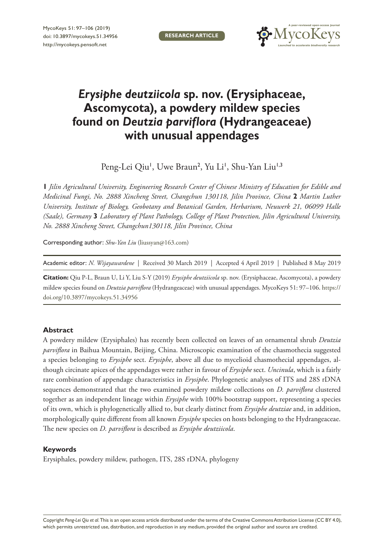**RESEARCH ARTICLE**



# *Erysiphe deutziicola* **sp. nov. (Erysiphaceae, Ascomycota), a powdery mildew species found on** *Deutzia parviflora* **(Hydrangeaceae) with unusual appendages**

Peng-Lei Qiu<sup>1</sup>, Uwe Braun<sup>2</sup>, Yu Li<sup>1</sup>, Shu-Yan Liu<sup>1,3</sup>

**1** *Jilin Agricultural University, Engineering Research Center of Chinese Ministry of Education for Edible and Medicinal Fungi, No. 2888 Xincheng Street, Changchun 130118, Jilin Province, China* **2** *Martin Luther University, Institute of Biology, Geobotany and Botanical Garden, Herbarium, Neuwerk 21, 06099 Halle (Saale), Germany* **3** *Laboratory of Plant Pathology, College of Plant Protection, Jilin Agricultural University, No. 2888 Xincheng Street, Changchun130118, Jilin Province, China*

Corresponding author: *Shu-Yan Liu* [\(liussyan@163.com\)](mailto:liussyan@163.com)

Academic editor: *N. Wijayawardene* | Received 30 March 2019 | Accepted 4 April 2019 | Published 8 May 2019

**Citation:** Qiu P-L, Braun U, Li Y, Liu S-Y (2019) *Erysiphe deutziicola* sp. nov. (Erysiphaceae, Ascomycota), a powdery mildew species found on *Deutzia parviflora* (Hydrangeaceae) with unusual appendages. MycoKeys 51: 97–106. [https://](https://doi.org/10.3897/mycokeys.51.34956) [doi.org/10.3897/mycokeys.51.34956](https://doi.org/10.3897/mycokeys.51.34956)

## **Abstract**

A powdery mildew (Erysiphales) has recently been collected on leaves of an ornamental shrub *Deutzia parviflora* in Baihua Mountain, Beijing, China. Microscopic examination of the chasmothecia suggested a species belonging to *Erysiphe* sect. *Erysiphe*, above all due to mycelioid chasmothecial appendages, although circinate apices of the appendages were rather in favour of *Erysiphe* sect. *Uncinula*, which is a fairly rare combination of appendage characteristics in *Erysiphe*. Phylogenetic analyses of ITS and 28S rDNA sequences demonstrated that the two examined powdery mildew collections on *D. parviflora* clustered together as an independent lineage within *Erysiphe* with 100% bootstrap support, representing a species of its own, which is phylogenetically allied to, but clearly distinct from *Erysiphe deutziae* and, in addition, morphologically quite different from all known *Erysiphe* species on hosts belonging to the Hydrangeaceae. The new species on *D. parviflora* is described as *Erysiphe deutziicola*.

## **Keywords**

Erysiphales, powdery mildew, pathogen, ITS, 28S rDNA, phylogeny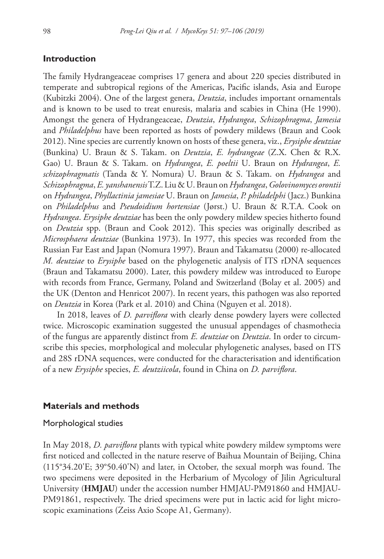## **Introduction**

The family Hydrangeaceae comprises 17 genera and about 220 species distributed in temperate and subtropical regions of the Americas, Pacific islands, Asia and Europe (Kubitzki 2004). One of the largest genera, *Deutzia*, includes important ornamentals and is known to be used to treat enuresis, malaria and scabies in China (He 1990). Amongst the genera of Hydrangeaceae, *Deutzia*, *Hydrangea*, *Schizophragma*, *Jamesia* and *Philadelphus* have been reported as hosts of powdery mildews (Braun and Cook 2012). Nine species are currently known on hosts of these genera, viz., *Erysiphe deutziae* (Bunkina) U. Braun & S. Takam. on *Deutzia*, *E. hydrangeae* (Z.X. Chen & R.X. Gao) U. Braun & S. Takam. on *Hydrangea*, *E. poeltii* U. Braun on *Hydrangea*, *E. schizophragmatis* (Tanda & Y. Nomura) U. Braun & S. Takam. on *Hydrangea* and *Schizophragma*, *E. yanshanensis* T.Z. Liu & U. Braun on *Hydrangea*, *Golovinomyces orontii*  on *Hydrangea*, *Phyllactinia jamesiae* U. Braun on *Jamesia*, *P. philadelphi* (Jacz.) Bunkina on *Philadelphus* and *Pseudoidium hortensiae* (Jørst.) U. Braun & R.T.A. Cook on *Hydrangea*. *Erysiphe deutziae* has been the only powdery mildew species hitherto found on *Deutzia* spp. (Braun and Cook 2012). This species was originally described as *Microsphaera deutziae* (Bunkina 1973). In 1977, this species was recorded from the Russian Far East and Japan (Nomura 1997). Braun and Takamatsu (2000) re-allocated *M. deutziae* to *Erysiphe* based on the phylogenetic analysis of ITS rDNA sequences (Braun and Takamatsu 2000). Later, this powdery mildew was introduced to Europe with records from France, Germany, Poland and Switzerland (Bolay et al. 2005) and the UK (Denton and Henricot 2007). In recent years, this pathogen was also reported on *Deutzia* in Korea (Park et al. 2010) and China (Nguyen et al. 2018).

In 2018, leaves of *D. parviflora* with clearly dense powdery layers were collected twice. Microscopic examination suggested the unusual appendages of chasmothecia of the fungus are apparently distinct from *E. deutziae* on *Deutzia*. In order to circumscribe this species, morphological and molecular phylogenetic analyses, based on ITS and 28S rDNA sequences, were conducted for the characterisation and identification of a new *Erysiphe* species, *E. deutziicola*, found in China on *D. parviflora*.

#### **Materials and methods**

#### Morphological studies

In May 2018, *D. parviflora* plants with typical white powdery mildew symptoms were first noticed and collected in the nature reserve of Baihua Mountain of Beijing, China (115°34.20'E; 39°50.40'N) and later, in October, the sexual morph was found. The two specimens were deposited in the Herbarium of Mycology of Jilin Agricultural University (**HMJAU**) under the accession number HMJAU-PM91860 and HMJAU-PM91861, respectively. The dried specimens were put in lactic acid for light microscopic examinations (Zeiss Axio Scope A1, Germany).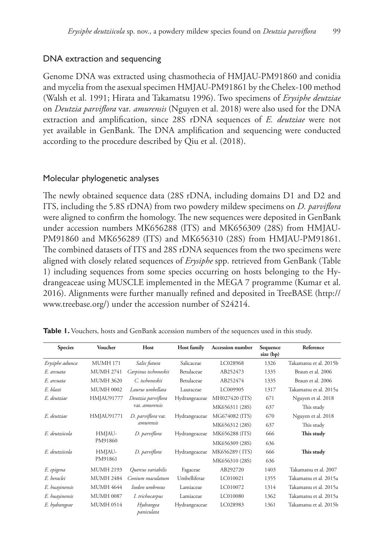## DNA extraction and sequencing

Genome DNA was extracted using chasmothecia of HMJAU-PM91860 and conidia and mycelia from the asexual specimen HMJAU-PM91861 by the Chelex-100 method (Walsh et al. 1991; Hirata and Takamatsu 1996). Two specimens of *Erysiphe deutziae*  on *Deutzia parviflora* var*. amurensis* (Nguyen et al. 2018) were also used for the DNA extraction and amplification, since 28S rDNA sequences of *E. deutziae* were not yet available in GenBank. The DNA amplification and sequencing were conducted according to the procedure described by Qiu et al. (2018).

## Molecular phylogenetic analyses

The newly obtained sequence data (28S rDNA, including domains D1 and D2 and ITS, including the 5.8S rDNA) from two powdery mildew specimens on *D. parviflora* were aligned to confirm the homology. The new sequences were deposited in GenBank under accession numbers [MK656288](http://www.ncbi.nlm.nih.gov/nuccore/MK656288) (ITS) and [MK656309](http://www.ncbi.nlm.nih.gov/nuccore/MK656309) (28S) from HMJAU-[PM91860](http://www.ncbi.nlm.nih.gov/nuccore/PM91860) and [MK656289](http://www.ncbi.nlm.nih.gov/nuccore/MK656289) (ITS) and [MK656310](http://www.ncbi.nlm.nih.gov/nuccore/MK656310) (28S) from HMJAU-PM91861. The combined datasets of ITS and 28S rDNA sequences from the two specimens were aligned with closely related sequences of *Erysiphe* spp. retrieved from GenBank (Table 1) including sequences from some species occurring on hosts belonging to the Hydrangeaceae using MUSCLE implemented in the MEGA 7 programme (Kumar et al. 2016). Alignments were further manually refined and deposited in TreeBASE [\(http://](http://www.treebase.org/) [www.treebase.org/\)](http://www.treebase.org/) under the accession number of S24214.

| <b>Species</b>     | Voucher          | Host                    | <b>Host family</b>  | <b>Accession number</b> | Sequence<br>size (bp) | Reference              |
|--------------------|------------------|-------------------------|---------------------|-------------------------|-----------------------|------------------------|
| Erysiphe adunca    | <b>MUMH 171</b>  | Salix futura            | Salicaceae          | LC028968                | 1326                  | Takamatsu et al. 2015b |
| E. arcuata         | <b>MUMH 2741</b> | Carpinus tschonoskii    | Betulaceae          | AB252473                | 1335                  | Braun et al. 2006      |
| E. arcuata         | <b>MUMH 3620</b> | C. tschonoskii          | Betulaceae          | AB252474                | 1335                  | Braun et al. 2006      |
| E. blasti          | <b>MUMH 0002</b> | Laurus umbellata        | Lauraceae           | LC009905                | 1317                  | Takamatsu et al. 2015a |
| F. deutziae        | HMJAU91777       | Deutzia parviflora      | Hydrangeaceae       | MH027420 (ITS)          | 671                   | Nguyen et al. 2018     |
|                    |                  | var. amurensis          |                     | MK656311 (28S)          | 637                   | This study             |
| <i>F. deutziae</i> | HMJAU91771       | D. parviflora var.      | Hydrangeaceae       | MG674082 (ITS)          | 670                   | Nguyen et al. 2018     |
|                    |                  | amurensis               |                     | MK656312 (28S)          | 637                   | This study             |
| F. deutziicola     | HMJAU-           | D. parviflora           | Hydrangeaceae       | MK656288 (ITS)          | 666                   | This study             |
|                    | PM91860          |                         |                     | MK656309 (28S)          | 636                   |                        |
| F. deutziicola     | HMJAU-           | D. parviflora           | Hydrangeaceae       | MK656289 (ITS)          | 666                   | This study             |
|                    | PM91861          |                         |                     | MK656310 (28S)          | 636                   |                        |
| E. epigena         | <b>MUMH 2193</b> | Quercus variabilis      | Fagaceae            | AB292720                | 1403                  | Takamatsu et al. 2007  |
| E. heraclei        | <b>MUMH 2484</b> | Conium maculatum        | <b>Umbelliferae</b> | LC010021                | 1355                  | Takamatsu et al. 2015a |
| E. huayinensis     | <b>MUMH 4644</b> | Isodon umbrosus         | Lamiaceae           | LC010072                | 1314                  | Takamatsu et al. 2015a |
| E. huayinensis     | <b>MUMH 0087</b> | I. trichocarpus         | Lamiaceae           | LC010080                | 1362                  | Takamatsu et al. 2015a |
| E. hydrangeae      | <b>MUMH 0514</b> | Hydrangea<br>paniculata | Hydrangeaceae       | LC028983                | 1361                  | Takamatsu et al. 2015b |

**Table 1.** Vouchers, hosts and GenBank accession numbers of the sequences used in this study.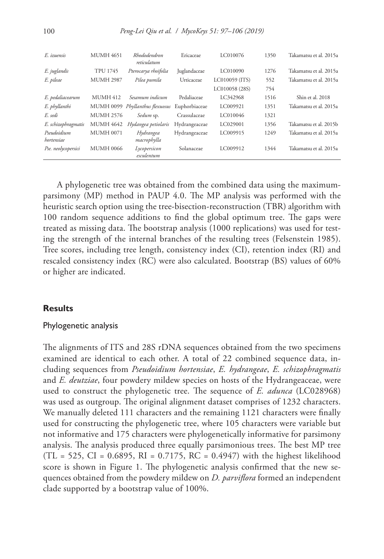| E. izuensis               | <b>MUMH 4651</b> | Rhododendron<br>reticulatum     | Ericaceae     | LC010076       | 1350 | Takamatsu et al. 2015a |
|---------------------------|------------------|---------------------------------|---------------|----------------|------|------------------------|
| E. juglandis              | <b>TPU 1745</b>  | Pterocarya rhoifolia            | Juglandaceae  | LC010090       | 1276 | Takamatsu et al. 2015a |
| E. pileae                 | <b>MUMH 2987</b> | Pilea pumila                    | Urticaceae    | LC010059 (ITS) | 552  | Takamatsu et al. 2015a |
|                           |                  |                                 |               | LC010058 (28S) | 754  |                        |
| E. pedaliacearum          | <b>MUMH 412</b>  | Sesamum indicum                 | Pedaliaceae   | LC342968       | 1516 | Shin et al. 2018       |
| E. phyllanthi             |                  | MUMH 0099 Phyllanthus flexuosus | Euphorbiaceae | LC009921       | 1351 | Takamatsu et al. 2015a |
| E. sedi                   | <b>MUMH 2576</b> | Sedum sp.                       | Crassulaceae  | LC010046       | 1321 |                        |
| E. schizophragmatis       | <b>MUMH 4642</b> | Hydangea petiolaris             | Hydrangeaceae | LC029001       | 1356 | Takamatsu et al. 2015b |
| Pseudoidium<br>hortensiae | <b>MUMH 0071</b> | Hydrangea<br>macrophylla        | Hydrangeaceae | LC009915       | 1249 | Takamatsu et al. 2015a |
| Pse. neolycopersici       | <b>MUMH 0066</b> | Lycopersicon<br>esculentum      | Solanaceae    | LC009912       | 1344 | Takamatsu et al. 2015a |

A phylogenetic tree was obtained from the combined data using the maximumparsimony (MP) method in PAUP 4.0. The MP analysis was performed with the heuristic search option using the tree-bisection-reconstruction (TBR) algorithm with 100 random sequence additions to find the global optimum tree. The gaps were treated as missing data. The bootstrap analysis (1000 replications) was used for testing the strength of the internal branches of the resulting trees (Felsenstein 1985). Tree scores, including tree length, consistency index (CI), retention index (RI) and rescaled consistency index (RC) were also calculated. Bootstrap (BS) values of 60% or higher are indicated.

#### **Results**

#### Phylogenetic analysis

The alignments of ITS and 28S rDNA sequences obtained from the two specimens examined are identical to each other. A total of 22 combined sequence data, including sequences from *Pseudoidium hortensiae*, *E. hydrangeae*, *E. schizophragmatis* and *E. deutziae*, four powdery mildew species on hosts of the Hydrangeaceae, were used to construct the phylogenetic tree. The sequence of *E. adunca* [\(LC028968\)](http://www.ncbi.nlm.nih.gov/nuccore/LC028968) was used as outgroup. The original alignment dataset comprises of 1232 characters. We manually deleted 111 characters and the remaining 1121 characters were finally used for constructing the phylogenetic tree, where 105 characters were variable but not informative and 175 characters were phylogenetically informative for parsimony analysis. The analysis produced three equally parsimonious trees. The best MP tree  $(TL = 525, CI = 0.6895, RI = 0.7175, RC = 0.4947)$  with the highest likelihood score is shown in Figure 1. The phylogenetic analysis confirmed that the new sequences obtained from the powdery mildew on *D. parviflora* formed an independent clade supported by a bootstrap value of 100%.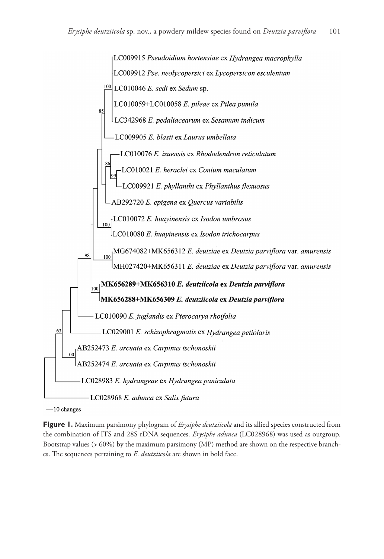

 $-10$  changes

**Figure 1.** Maximum parsimony phylogram of *Erysiphe deutziicola* and its allied species constructed from the combination of ITS and 28S rDNA sequences. *Erysiphe adunca* (LC028968) was used as outgroup. Bootstrap values (> 60%) by the maximum parsimony (MP) method are shown on the respective branches. The sequences pertaining to *E. deutziicola* are shown in bold face.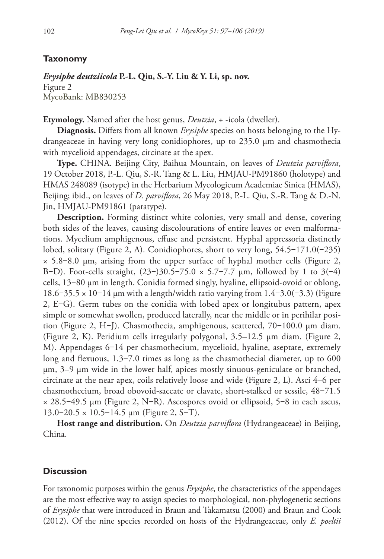## **Taxonomy**

## *Erysiphe deutziicola* **P.-L. Qiu, S.-Y. Liu & Y. Li, sp. nov.**

Figure 2 MycoBank: [MB830253](http://www.mycobank.org/MycoTaxo.aspx?Link=T&Rec=MB830253)

**Etymology.** Named after the host genus, *Deutzia*, + -icola (dweller).

**Diagnosis.** Differs from all known *Erysiphe* species on hosts belonging to the Hydrangeaceae in having very long conidiophores, up to 235.0 µm and chasmothecia with mycelioid appendages, circinate at the apex.

**Type.** CHINA. Beijing City, Baihua Mountain, on leaves of *Deutzia parviflora*, 19 October 2018, P.-L. Qiu, S.-R. Tang & L. Liu, HMJAU-PM91860 (holotype) and HMAS 248089 (isotype) in the Herbarium Mycologicum Academiae Sinica (HMAS), Beijing; ibid., on leaves of *D. parviflora*, 26 May 2018, P.-L. Qiu, S.-R. Tang & D.-N. Jin, HMJAU-PM91861 (paratype).

**Description.** Forming distinct white colonies, very small and dense, covering both sides of the leaves, causing discolourations of entire leaves or even malformations. Mycelium amphigenous, effuse and persistent. Hyphal appressoria distinctly lobed, solitary (Figure 2, A). Conidiophores, short to very long,  $54.5-171.0(-235)$  $\times$  5.8–8.0 µm, arising from the upper surface of hyphal mother cells (Figure 2, B–D). Foot-cells straight,  $(23-)30.5-75.0 \times 5.7-7.7 \mu m$ , followed by 1 to 3(-4) cells, 13‒80 µm in length. Conidia formed singly, hyaline, ellipsoid-ovoid or oblong, 18.6–35.5  $\times$  10–14 µm with a length/width ratio varying from 1.4–3.0(–3.3) (Figure 2, E‒G). Germ tubes on the conidia with lobed apex or longitubus pattern, apex simple or somewhat swollen, produced laterally, near the middle or in perihilar position (Figure 2, H–J). Chasmothecia, amphigenous, scattered,  $70-100.0 \mu m$  diam. (Figure 2, K). Peridium cells irregularly polygonal, 3.5–12.5 µm diam. (Figure 2, M). Appendages 6-14 per chasmothecium, mycelioid, hyaline, aseptate, extremely long and flexuous,  $1.3 - 7.0$  times as long as the chasmothecial diameter, up to 600 µm, 3–9 µm wide in the lower half, apices mostly sinuous-geniculate or branched, circinate at the near apex, coils relatively loose and wide (Figure 2, L). Asci 4–6 per chasmothecium, broad obovoid-saccate or clavate, short-stalked or sessile,  $48-71.5$  $\times$  28.5–49.5 µm (Figure 2, N–R). Ascospores ovoid or ellipsoid, 5–8 in each ascus,  $13.0 - 20.5 \times 10.5 - 14.5 \mu m$  (Figure 2, S-T).

**Host range and distribution.** On *Deutzia parviflora* (Hydrangeaceae) in Beijing, China.

#### **Discussion**

For taxonomic purposes within the genus *Erysiphe*, the characteristics of the appendages are the most effective way to assign species to morphological, non-phylogenetic sections of *Erysiphe* that were introduced in Braun and Takamatsu (2000) and Braun and Cook (2012). Of the nine species recorded on hosts of the Hydrangeaceae, only *E. poeltii*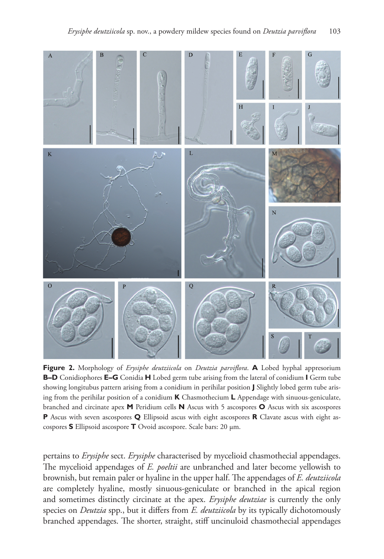

**Figure 2.** Morphology of *Erysiphe deutziicola* on *Deutzia parviflora*. **A** Lobed hyphal appresorium **B–D** Conidiophores **E–G** Conidia **H** Lobed germ tube arising from the lateral of conidium **I** Germ tube showing longitubus pattern arising from a conidium in perihilar position **J** Slightly lobed germ tube arising from the perihilar position of a conidium **K** Chasmothecium **L** Appendage with sinuous-geniculate, branched and circinate apex **M** Peridium cells **N** Ascus with 5 ascospores **O** Ascus with six ascospores **P** Ascus with seven ascospores **Q** Ellipsoid ascus with eight ascospores **R** Clavate ascus with eight ascospores **S** Ellipsoid ascospore **T** Ovoid ascospore. Scale bars: 20 µm.

pertains to *Erysiphe* sect. *Erysiphe* characterised by mycelioid chasmothecial appendages. The mycelioid appendages of *E. poeltii* are unbranched and later become yellowish to brownish, but remain paler or hyaline in the upper half. The appendages of *E. deutziicola* are completely hyaline, mostly sinuous-geniculate or branched in the apical region and sometimes distinctly circinate at the apex. *Erysiphe deutziae* is currently the only species on *Deutzia* spp., but it differs from *E. deutziicola* by its typically dichotomously branched appendages. The shorter, straight, stiff uncinuloid chasmothecial appendages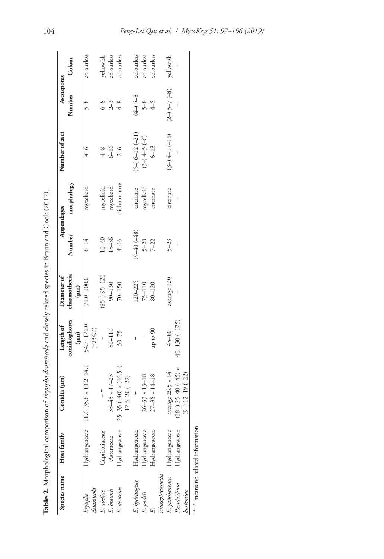|                           | Species name Host family                     | Conidia (um)                                         | Length of                | Diameter of               |                 | Appendages  | Number of asci    | Ascospores         |            |
|---------------------------|----------------------------------------------|------------------------------------------------------|--------------------------|---------------------------|-----------------|-------------|-------------------|--------------------|------------|
|                           |                                              |                                                      | conidiophores<br>(mn)    | chasmothecia<br>$(\mu m)$ | Number          | morphology  |                   | Number             | Colour     |
| deutziicola<br>Erysiphe   | Hydrangeaceae                                | $18.6 - 35.6 \times 10.2 - 14.1$                     | 54.7-171.0<br>$(-234.7)$ | $71.0 - 100.0$            | $6 - 14$        | mycelioid   | $4 - 6$           | $5 - 8$            | colourless |
| E. abeliae                | Caprifoliaceae                               | $\frac{1}{1}$                                        | I                        | $(85-)$ $95-120$          | $10 - 40$       | mycelioid   | $^{4-8}$          | $6-8$              | yellowish  |
| E. braunii                | Asteraceae                                   | $35 - 45 \times 17 - 23$                             | 80-110                   | $90 - 130$                | $18 - 36$       | mycelioid   | $6 - 16$          | $2 - 3$            | colourless |
| E. deutziae               | Hydrangeaceae                                | $25-35(-40) \times (16.5-)$<br>$17.5 - 20 (-22)$     | 50-75                    | 70-150                    | $4 - 16$        | dichotomous | $2 - 6$           | $4-8$              | colourless |
| E. hydrangeae             | Hydrangeaceae                                |                                                      |                          | $.20 - 225$               | $19 - 40 (-48)$ | circinate   | $(5-)$ 6-12 (-21) | $(4-)$ 5-8         | colourless |
| E. poeltii                | Hydrangeaceae                                | $26 - 33 \times 13 - 18$                             |                          | 75-110                    | $5 - 20$        | mycelioid   | $(3-)+5(-6)$      |                    | colourless |
|                           | Hydrangeaceae                                | $27 - 38 \times 14 - 18$                             | up to 90                 | 80-120                    | $7 - 22$        | circinate   | $6 - 13$          | $5 - 8$<br>$4 - 5$ | colourless |
| schizophragmatis          |                                              |                                                      |                          |                           |                 |             |                   |                    |            |
| E. yanshanensis           | Hydrangeaceae                                | average 26.5 × 14                                    | $45 - 80$                | average 120               | $5 - 23$        | circinate   | $(3-)4-9(-11)$    | $(2-)$ 5-7 $(-8)$  | yellowish  |
| Pseudoidium<br>hortensiae | Hydrangeaceae                                | $(18-)$ 25-40 (-45) $\times$<br>$(9-)$ 12-19 $(-22)$ | $40 - 130 (-175)$        |                           |                 |             |                   |                    |            |
|                           | <sup>t "-</sup> means no related information |                                                      |                          |                           |                 |             |                   |                    |            |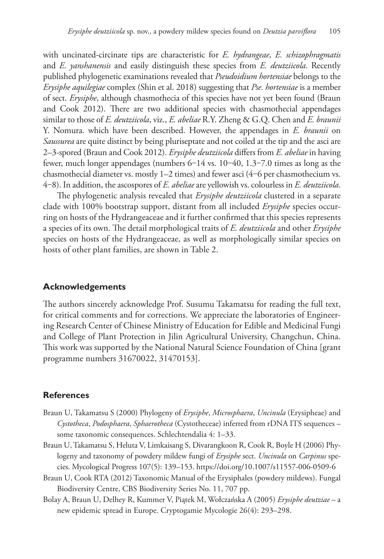with uncinated-circinate tips are characteristic for *E. hydrangeae*, *E. schizophragmatis* and *E. yanshanensis* and easily distinguish these species from *E. deutziicola*. Recently published phylogenetic examinations revealed that *Pseudoidium hortensiae* belongs to the *Erysiphe aquilegiae* complex (Shin et al. 2018) suggesting that *Pse. hortensiae* is a member of sect. *Erysiphe*, although chasmothecia of this species have not yet been found (Braun and Cook 2012). There are two additional species with chasmothecial appendages similar to those of *E. deutziicola*, viz., *E. abeliae* R.Y. Zheng & G.Q. Chen and *E. braunii* Y. Nomura. which have been described. However, the appendages in *E. braunii* on *Saussurea* are quite distinct by being pluriseptate and not coiled at the tip and the asci are 2–3-spored (Braun and Cook 2012). *Erysiphe deutziicola* differs from *E. abeliae* in having fewer, much longer appendages (numbers 6–14 vs. 10–40, 1.3–7.0 times as long as the chasmothecial diameter vs. mostly  $1-2$  times) and fewer asci  $(4-6)$  per chasmothecium vs. 4‒8). In addition, the ascospores of *E. abeliae* are yellowish vs. colourless in *E. deutziicola*.

The phylogenetic analysis revealed that *Erysiphe deutziicola* clustered in a separate clade with 100% bootstrap support, distant from all included *Erysiphe* species occurring on hosts of the Hydrangeaceae and it further confirmed that this species represents a species of its own. The detail morphological traits of *E. deutziicola* and other *Erysiphe*  species on hosts of the Hydrangeaceae, as well as morphologically similar species on hosts of other plant families, are shown in Table 2.

#### **Acknowledgements**

The authors sincerely acknowledge Prof. Susumu Takamatsu for reading the full text, for critical comments and for corrections. We appreciate the laboratories of Engineering Research Center of Chinese Ministry of Education for Edible and Medicinal Fungi and College of Plant Protection in Jilin Agricultural University, Changchun, China. This work was supported by the National Natural Science Foundation of China [grant programme numbers 31670022, 31470153].

#### **References**

- Braun U, Takamatsu S (2000) Phylogeny of *Erysiphe*, *Microsphaera*, *Uncinula* (Erysipheae) and *Cystotheca*, *Podosphaera*, *Sphaerotheca* (Cystotheceae) inferred from rDNA ITS sequences – some taxonomic consequences. Schlechtendalia 4: 1–33.
- Braun U, Takamatsu S, Heluta V, Limkaisang S, Divarangkoon R, Cook R, Boyle H (2006) Phylogeny and taxonomy of powdery mildew fungi of *Erysiphe* sect. *Uncinula* on *Carpinus* species. Mycological Progress 107(5): 139–153.<https://doi.org/10.1007/s11557-006-0509-6>
- Braun U, Cook RTA (2012) Taxonomic Manual of the Erysiphales (powdery mildews). Fungal Biodiversity Centre, CBS Biodiversity Series No. 11, 707 pp.
- Bolay A, Braun U, Delhey R, Kummer V, Piątek M, Wołczańska A (2005) *Erysiphe deutziae* a new epidemic spread in Europe. Cryptogamie Mycologie 26(4): 293–298.